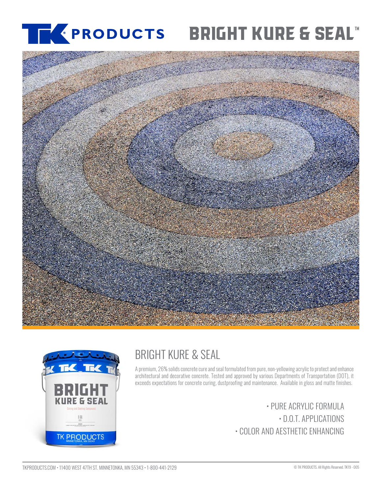## [®](https://www.tkproducts.com/) **BRIGHT KURE & SEAL**





# BRIGHT KURE & SEAL

A premium, 26% solids concrete cure and seal formulated from pure, non-yellowing acrylic to protect and enhance architectural and decorative concrete. Tested and approved by various Departments of Transportation (DOT), it exceeds expectations for concrete curing, dustproofing and maintenance. Available in gloss and matte finishes.

> • PURE ACRYLIC FORMULA • D.O.T. APPLICATIONS • COLOR AND AESTHETIC ENHANCING